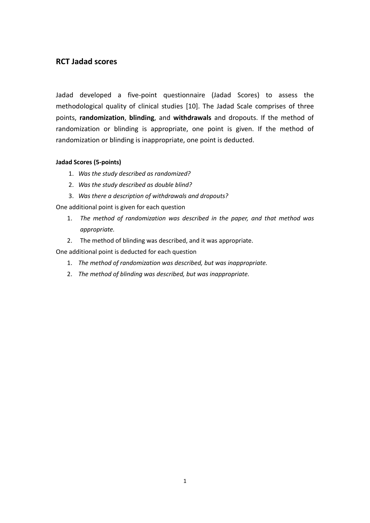## **RCT Jadad scores**

Jadad developed a five-point questionnaire (Jadad Scores) to assess the methodological quality of clinical studies [10]. The Jadad Scale comprises of three points, **randomization**, **blinding**, and **withdrawals** and dropouts. If the method of randomization or blinding is appropriate, one point is given. If the method of randomization or blinding is inappropriate, one point is deducted.

## **Jadad Scores (5-points)**

- 1. *Was the study described as randomized?*
- 2. *Was the study described as double blind?*
- 3. *Was there a description of withdrawals and dropouts?*

One additional point is given for each question

- 1. *The method of randomization was described in the paper, and that method was appropriate.*
- 2. The method of blinding was described, and it was appropriate.

One additional point is deducted for each question

- 1. *The method of randomization was described, but was inappropriate.*
- 2. *The method of blinding was described, but was inappropriate.*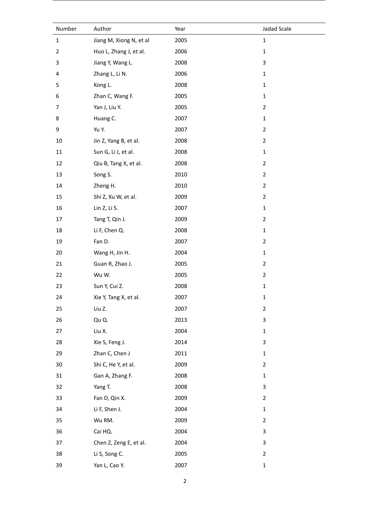| Number         | Author                  | Year | Jadad Scale    |
|----------------|-------------------------|------|----------------|
| $\mathbf 1$    | Jiang M, Xiong N, et al | 2005 | $\mathbf 1$    |
| $\overline{2}$ | Huo L, Zhang J, et al.  | 2006 | $\mathbf 1$    |
| 3              | Jiang Y, Wang L.        | 2008 | 3              |
| 4              | Zhang L, Li N.          | 2006 | $\mathbf 1$    |
| 5              | Kong L.                 | 2008 | $\mathbf 1$    |
| 6              | Zhan C, Wang F.         | 2005 | $\mathbf 1$    |
| 7              | Yan J, Liu Y.           | 2005 | $\overline{2}$ |
| 8              | Huang C.                | 2007 | $\mathbf 1$    |
| 9              | Yu Y.                   | 2007 | $\overline{2}$ |
| $10\,$         | Jin Z, Yang B, et al.   | 2008 | $\mathbf{2}$   |
| $11\,$         | Sun G, Li J, et al.     | 2008 | $\mathbf 1$    |
| 12             | Qiu B, Tang X, et al.   | 2008 | $\overline{2}$ |
| 13             | Song S.                 | 2010 | $\overline{2}$ |
| 14             | Zheng H.                | 2010 | $\overline{2}$ |
| 15             | Shi Z, Xu W, et al.     | 2009 | $\overline{2}$ |
| 16             | Lin Z, Li S.            | 2007 | $\mathbf 1$    |
| 17             | Tang T, Qin J.          | 2009 | $\overline{2}$ |
| 18             | Li F, Chen Q.           | 2008 | $\mathbf 1$    |
| 19             | Fan D.                  | 2007 | $\overline{2}$ |
| 20             | Wang H, Jin H.          | 2004 | $\mathbf 1$    |
| 21             | Guan R, Zhao J.         | 2005 | $\overline{2}$ |
| 22             | Wu W.                   | 2005 | $\mathbf{2}$   |
| 23             | Sun Y, Cui Z.           | 2008 | $\mathbf 1$    |
| 24             | Xie Y, Tang X, et al.   | 2007 | $\mathbf 1$    |
| 25             | Liu Z.                  | 2007 | $\mathbf 2$    |
| 26             | Qu Q.                   | 2013 | 3              |
| 27             | Liu X.                  | 2004 | $\mathbf 1$    |
| 28             | Xie S, Feng J.          | 2014 | 3              |
| 29             | Zhan C, Chen J          | 2011 | $\mathbf 1$    |
| $30\,$         | Shi C, He Y, et al.     | 2009 | $\overline{2}$ |
| 31             | Gan A, Zhang F.         | 2008 | $\mathbf 1$    |
| 32             | Yang T.                 | 2008 | 3              |
| 33             | Fan D, Qin X.           | 2009 | $\overline{2}$ |
| 34             | Li F, Shen J.           | 2004 | $\mathbf 1$    |
| 35             | Wu RM.                  | 2009 | $\overline{2}$ |
| 36             | Cai HQ.                 | 2004 | 3              |
| 37             | Chen Z, Zeng E, et al.  | 2004 | 3              |
| 38             | Li S, Song C.           | 2005 | $\overline{2}$ |
| 39             | Yan L, Cao Y.           | 2007 | $\mathbf 1$    |